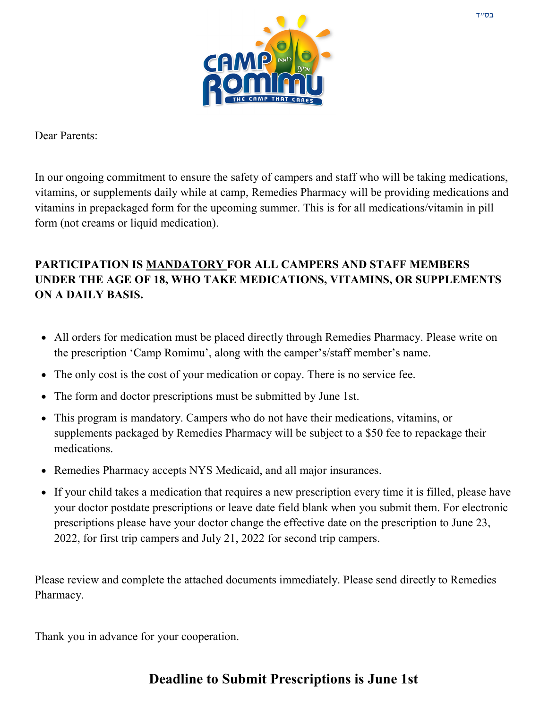

Dear Parents:

In our ongoing commitment to ensure the safety of campers and staff who will be taking medications, vitamins, or supplements daily while at camp, Remedies Pharmacy will be providing medications and vitamins in prepackaged form for the upcoming summer. This is for all medications/vitamin in pill form (not creams or liquid medication).

### **PARTICIPATION IS MANDATORY FOR ALL CAMPERS AND STAFF MEMBERS UNDER THE AGE OF 18, WHO TAKE MEDICATIONS, VITAMINS, OR SUPPLEMENTS ON A DAILY BASIS.**

- All orders for medication must be placed directly through Remedies Pharmacy. Please write on the prescription 'Camp Romimu', along with the camper's/staff member's name.
- The only cost is the cost of your medication or copay. There is no service fee.
- The form and doctor prescriptions must be submitted by June 1st.
- This program is mandatory. Campers who do not have their medications, vitamins, or supplements packaged by Remedies Pharmacy will be subject to a \$50 fee to repackage their medications.
- Remedies Pharmacy accepts NYS Medicaid, and all major insurances.
- If your child takes a medication that requires a new prescription every time it is filled, please have your doctor postdate prescriptions or leave date field blank when you submit them. For electronic prescriptions please have your doctor change the effective date on the prescription to June 23, 2022, for first trip campers and July 21, 2022 for second trip campers.

Please review and complete the attached documents immediately. Please send directly to Remedies Pharmacy.

Thank you in advance for your cooperation.

## **Deadline to Submit Prescriptions is June 1st**